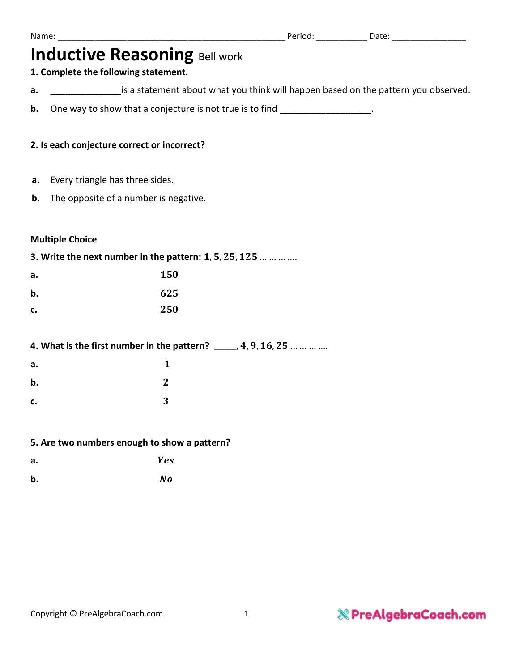|    | <b>Inductive Reasoning Bell work</b><br>1. Complete the following statement.       |  |
|----|------------------------------------------------------------------------------------|--|
| а. | is a statement about what you think will happen based on the pattern you observed. |  |
| b. | One way to show that a conjecture is not true is to find _________________.        |  |
|    | 2. Is each conjecture correct or incorrect?                                        |  |
| а. | Every triangle has three sides.                                                    |  |
| b. | The opposite of a number is negative.                                              |  |
|    | <b>Multiple Choice</b>                                                             |  |
|    | 3. Write the next number in the pattern: 1, 5, 25, 125                             |  |
| а. | 150                                                                                |  |
| b. | 625                                                                                |  |
| c. | 250                                                                                |  |
|    | 4. What is the first number in the pattern? $\_\_\_\_4, 9, 16, 25$                 |  |
| а. | $\mathbf{1}$                                                                       |  |
| b. | $\mathbf{2}$                                                                       |  |
| c. | 3                                                                                  |  |
|    | 5. Are two numbers enough to show a pattern?                                       |  |
| а. | Yes                                                                                |  |
| b. | No                                                                                 |  |
|    |                                                                                    |  |
|    |                                                                                    |  |
|    |                                                                                    |  |